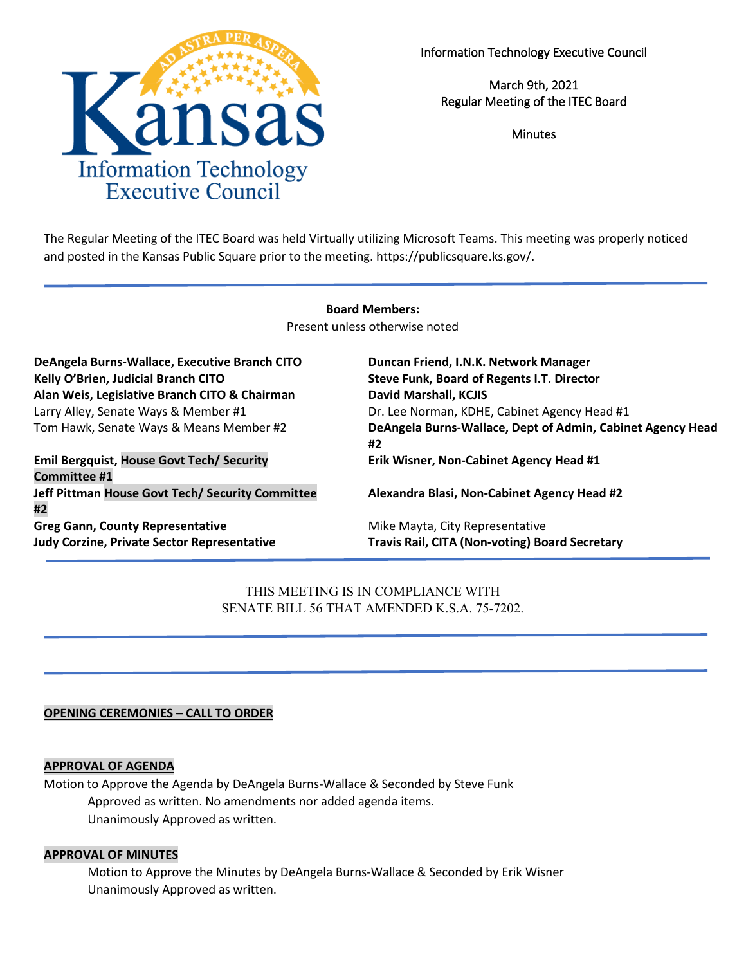

Information Technology Executive Council

March 9th, 2021 Regular Meeting of the ITEC Board

**Minutes** 

The Regular Meeting of the ITEC Board was held Virtually utilizing Microsoft Teams. This meeting was properly noticed and posted in the Kansas Public Square prior to the meeting. https://publicsquare.ks.gov/.

### **Board Members:**

Present unless otherwise noted

| DeAngela Burns-Wallace, Executive Branch CITO<br>Kelly O'Brien, Judicial Branch CITO | Duncan Friend, I.N.K. Network Manager<br>Steve Funk, Board of Regents I.T. Director |
|--------------------------------------------------------------------------------------|-------------------------------------------------------------------------------------|
| Alan Weis, Legislative Branch CITO & Chairman                                        | <b>David Marshall, KCJIS</b>                                                        |
| Larry Alley, Senate Ways & Member #1                                                 | Dr. Lee Norman, KDHE, Cabinet Agency Head #1                                        |
| Tom Hawk, Senate Ways & Means Member #2                                              | DeAngela Burns-Wallace, Dept of Admin, Cabinet Agency Head<br>#2                    |
| <b>Emil Bergquist, House Govt Tech/ Security</b><br><b>Committee #1</b>              | Erik Wisner, Non-Cabinet Agency Head #1                                             |
| Jeff Pittman House Govt Tech/ Security Committee<br>#2                               | Alexandra Blasi, Non-Cabinet Agency Head #2                                         |
| <b>Greg Gann, County Representative</b>                                              | Mike Mayta, City Representative                                                     |
| <b>Judy Corzine, Private Sector Representative</b>                                   | <b>Travis Rail, CITA (Non-voting) Board Secretary</b>                               |

THIS MEETING IS IN COMPLIANCE WITH SENATE BILL 56 THAT AMENDED K.S.A. 75-7202.

### **OPENING CEREMONIES – CALL TO ORDER**

#### **APPROVAL OF AGENDA**

Motion to Approve the Agenda by DeAngela Burns-Wallace & Seconded by Steve Funk Approved as written. No amendments nor added agenda items. Unanimously Approved as written.

#### **APPROVAL OF MINUTES**

Motion to Approve the Minutes by DeAngela Burns-Wallace & Seconded by Erik Wisner Unanimously Approved as written.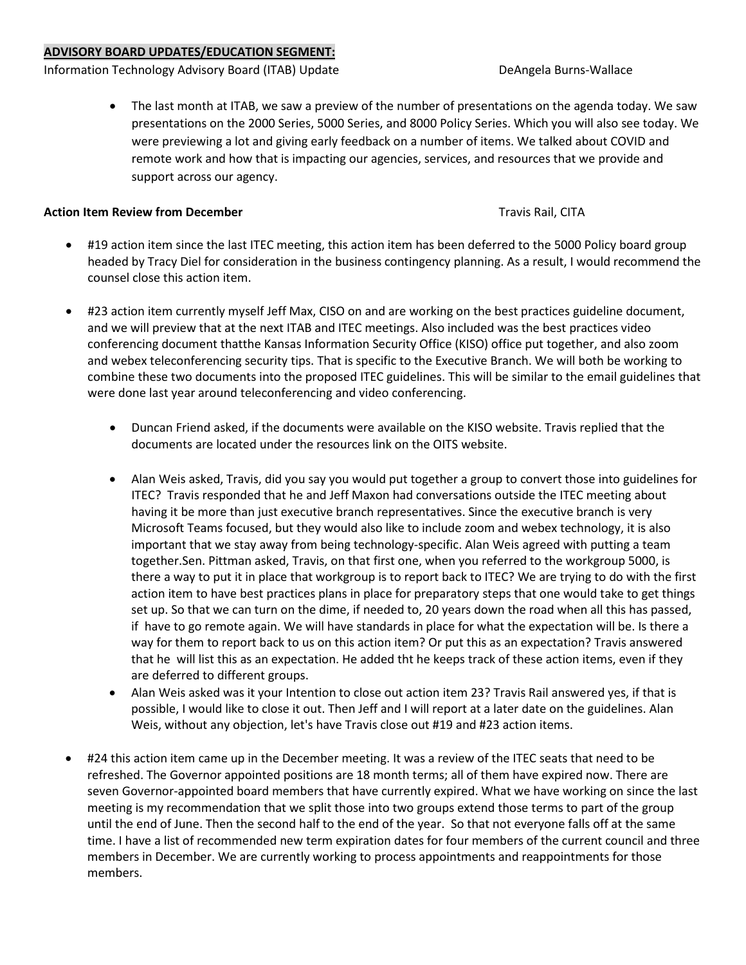### **ADVISORY BOARD UPDATES/EDUCATION SEGMENT:**

Information Technology Advisory Board (ITAB) Update **DeAngela Burns-Wallace** DeAngela Burns-Wallace

• The last month at ITAB, we saw a preview of the number of presentations on the agenda today. We saw presentations on the 2000 Series, 5000 Series, and 8000 Policy Series. Which you will also see today. We were previewing a lot and giving early feedback on a number of items. We talked about COVID and remote work and how that is impacting our agencies, services, and resources that we provide and support across our agency.

### **Action Item Review from December** Travis Rail, CITA

- #19 action item since the last ITEC meeting, this action item has been deferred to the 5000 Policy board group headed by Tracy Diel for consideration in the business contingency planning. As a result, I would recommend the counsel close this action item.
- #23 action item currently myself Jeff Max, CISO on and are working on the best practices guideline document, and we will preview that at the next ITAB and ITEC meetings. Also included was the best practices video conferencing document thatthe Kansas Information Security Office (KISO) office put together, and also zoom and webex teleconferencing security tips. That is specific to the Executive Branch. We will both be working to combine these two documents into the proposed ITEC guidelines. This will be similar to the email guidelines that were done last year around teleconferencing and video conferencing.
	- Duncan Friend asked, if the documents were available on the KISO website. Travis replied that the documents are located under the resources link on the OITS website.
	- Alan Weis asked, Travis, did you say you would put together a group to convert those into guidelines for ITEC? Travis responded that he and Jeff Maxon had conversations outside the ITEC meeting about having it be more than just executive branch representatives. Since the executive branch is very Microsoft Teams focused, but they would also like to include zoom and webex technology, it is also important that we stay away from being technology-specific. Alan Weis agreed with putting a team together.Sen. Pittman asked, Travis, on that first one, when you referred to the workgroup 5000, is there a way to put it in place that workgroup is to report back to ITEC? We are trying to do with the first action item to have best practices plans in place for preparatory steps that one would take to get things set up. So that we can turn on the dime, if needed to, 20 years down the road when all this has passed, if have to go remote again. We will have standards in place for what the expectation will be. Is there a way for them to report back to us on this action item? Or put this as an expectation? Travis answered that he will list this as an expectation. He added tht he keeps track of these action items, even if they are deferred to different groups.
	- Alan Weis asked was it your Intention to close out action item 23? Travis Rail answered yes, if that is possible, I would like to close it out. Then Jeff and I will report at a later date on the guidelines. Alan Weis, without any objection, let's have Travis close out #19 and #23 action items.
- #24 this action item came up in the December meeting. It was a review of the ITEC seats that need to be refreshed. The Governor appointed positions are 18 month terms; all of them have expired now. There are seven Governor-appointed board members that have currently expired. What we have working on since the last meeting is my recommendation that we split those into two groups extend those terms to part of the group until the end of June. Then the second half to the end of the year. So that not everyone falls off at the same time. I have a list of recommended new term expiration dates for four members of the current council and three members in December. We are currently working to process appointments and reappointments for those members.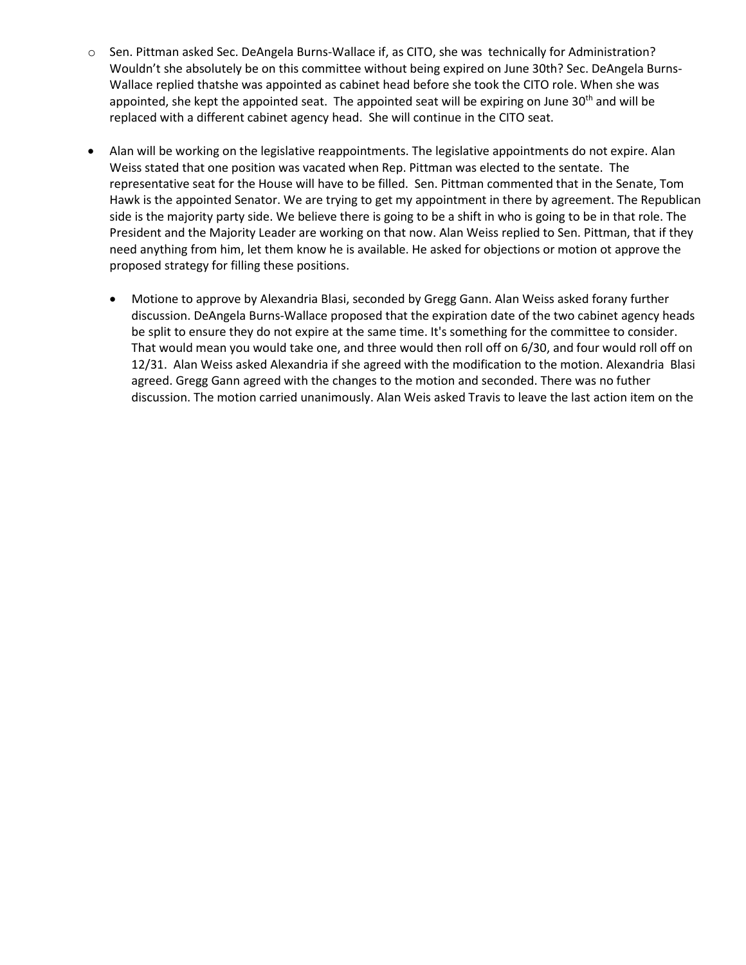- o Sen. Pittman asked Sec. DeAngela Burns-Wallace if, as CITO, she was technically for Administration? Wouldn't she absolutely be on this committee without being expired on June 30th? Sec. DeAngela Burns-Wallace replied thatshe was appointed as cabinet head before she took the CITO role. When she was appointed, she kept the appointed seat. The appointed seat will be expiring on June  $30<sup>th</sup>$  and will be replaced with a different cabinet agency head. She will continue in the CITO seat.
- Alan will be working on the legislative reappointments. The legislative appointments do not expire. Alan Weiss stated that one position was vacated when Rep. Pittman was elected to the sentate. The representative seat for the House will have to be filled. Sen. Pittman commented that in the Senate, Tom Hawk is the appointed Senator. We are trying to get my appointment in there by agreement. The Republican side is the majority party side. We believe there is going to be a shift in who is going to be in that role. The President and the Majority Leader are working on that now. Alan Weiss replied to Sen. Pittman, that if they need anything from him, let them know he is available. He asked for objections or motion ot approve the proposed strategy for filling these positions.
	- Motione to approve by Alexandria Blasi, seconded by Gregg Gann. Alan Weiss asked forany further discussion. DeAngela Burns-Wallace proposed that the expiration date of the two cabinet agency heads be split to ensure they do not expire at the same time. It's something for the committee to consider. That would mean you would take one, and three would then roll off on 6/30, and four would roll off on 12/31. Alan Weiss asked Alexandria if she agreed with the modification to the motion. Alexandria Blasi agreed. Gregg Gann agreed with the changes to the motion and seconded. There was no futher discussion. The motion carried unanimously. Alan Weis asked Travis to leave the last action item on the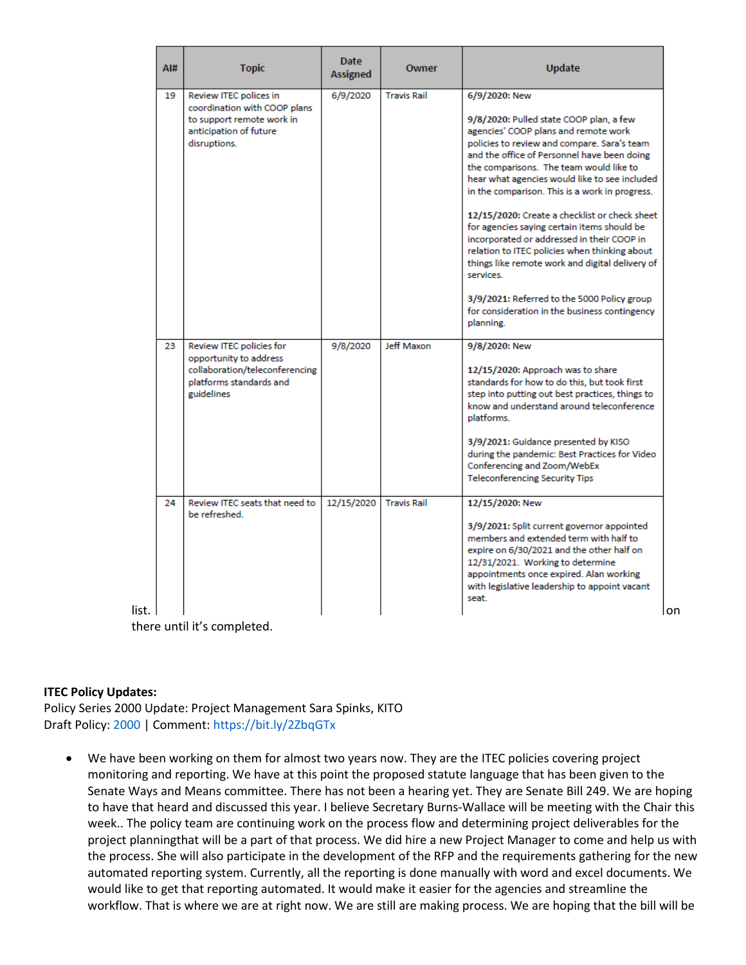| AI# | <b>Topic</b>                                                                                                                  | <b>Date</b><br>Assigned | Owner              | <b>Update</b>                                                                                                                                                                                                                                                                                                                                                                                                                                                                                                                                                                                                                                                                                                            |
|-----|-------------------------------------------------------------------------------------------------------------------------------|-------------------------|--------------------|--------------------------------------------------------------------------------------------------------------------------------------------------------------------------------------------------------------------------------------------------------------------------------------------------------------------------------------------------------------------------------------------------------------------------------------------------------------------------------------------------------------------------------------------------------------------------------------------------------------------------------------------------------------------------------------------------------------------------|
| 19  | Review ITEC polices in<br>coordination with COOP plans<br>to support remote work in<br>anticipation of future<br>disruptions. | 6/9/2020                | <b>Travis Rail</b> | 6/9/2020: New<br>9/8/2020: Pulled state COOP plan, a few<br>agencies' COOP plans and remote work<br>policies to review and compare. Sara's team<br>and the office of Personnel have been doing<br>the comparisons. The team would like to<br>hear what agencies would like to see included<br>in the comparison. This is a work in progress.<br>12/15/2020: Create a checklist or check sheet<br>for agencies saying certain items should be<br>incorporated or addressed in their COOP in<br>relation to ITEC policies when thinking about<br>things like remote work and digital delivery of<br>services.<br>3/9/2021: Referred to the 5000 Policy group<br>for consideration in the business contingency<br>planning. |
| 23  | Review ITEC policies for<br>opportunity to address<br>collaboration/teleconferencing<br>platforms standards and<br>guidelines | 9/8/2020                | Jeff Maxon         | 9/8/2020: New<br>12/15/2020: Approach was to share<br>standards for how to do this, but took first<br>step into putting out best practices, things to<br>know and understand around teleconference<br>platforms.<br>3/9/2021: Guidance presented by KISO<br>during the pandemic: Best Practices for Video<br>Conferencing and Zoom/WebEx<br><b>Teleconferencing Security Tips</b>                                                                                                                                                                                                                                                                                                                                        |
| 24  | Review ITEC seats that need to<br>be refreshed.                                                                               | 12/15/2020              | <b>Travis Rail</b> | 12/15/2020: New<br>3/9/2021: Split current governor appointed<br>members and extended term with half to<br>expire on 6/30/2021 and the other half on<br>12/31/2021. Working to determine<br>appointments once expired. Alan working<br>with legislative leadership to appoint vacant<br>seat.                                                                                                                                                                                                                                                                                                                                                                                                                            |

there until it's completed.

### **ITEC Policy Updates:**

Policy Series 2000 Update: Project Management Sara Spinks, KITO Draft Policy: 2000 | Comment: https://bit.ly/2ZbqGTx

• We have been working on them for almost two years now. They are the ITEC policies covering project monitoring and reporting. We have at this point the proposed statute language that has been given to the Senate Ways and Means committee. There has not been a hearing yet. They are Senate Bill 249. We are hoping to have that heard and discussed this year. I believe Secretary Burns-Wallace will be meeting with the Chair this week.. The policy team are continuing work on the process flow and determining project deliverables for the project planningthat will be a part of that process. We did hire a new Project Manager to come and help us with the process. She will also participate in the development of the RFP and the requirements gathering for the new automated reporting system. Currently, all the reporting is done manually with word and excel documents. We would like to get that reporting automated. It would make it easier for the agencies and streamline the workflow. That is where we are at right now. We are still are making process. We are hoping that the bill will be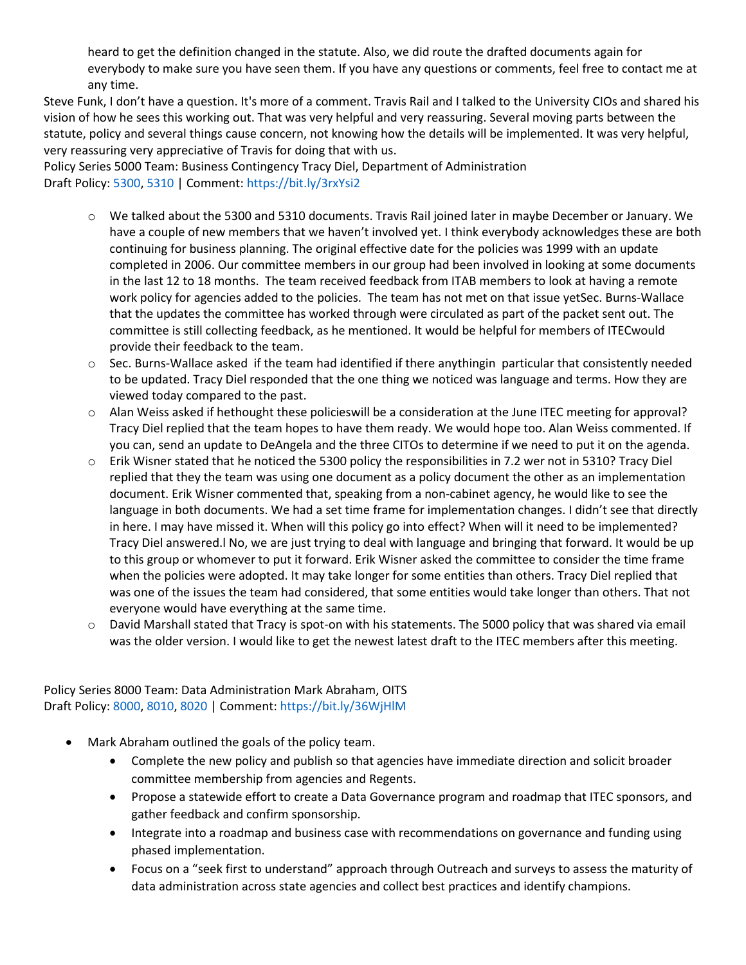heard to get the definition changed in the statute. Also, we did route the drafted documents again for everybody to make sure you have seen them. If you have any questions or comments, feel free to contact me at any time.

Steve Funk, I don't have a question. It's more of a comment. Travis Rail and I talked to the University CIOs and shared his vision of how he sees this working out. That was very helpful and very reassuring. Several moving parts between the statute, policy and several things cause concern, not knowing how the details will be implemented. It was very helpful, very reassuring very appreciative of Travis for doing that with us.

Policy Series 5000 Team: Business Contingency Tracy Diel, Department of Administration Draft Policy: 5300, 5310 | Comment: https://bit.ly/3rxYsi2

- o We talked about the 5300 and 5310 documents. Travis Rail joined later in maybe December or January. We have a couple of new members that we haven't involved yet. I think everybody acknowledges these are both continuing for business planning. The original effective date for the policies was 1999 with an update completed in 2006. Our committee members in our group had been involved in looking at some documents in the last 12 to 18 months. The team received feedback from ITAB members to look at having a remote work policy for agencies added to the policies. The team has not met on that issue yetSec. Burns-Wallace that the updates the committee has worked through were circulated as part of the packet sent out. The committee is still collecting feedback, as he mentioned. It would be helpful for members of ITECwould provide their feedback to the team.
- o Sec. Burns-Wallace asked if the team had identified if there anythingin particular that consistently needed to be updated. Tracy Diel responded that the one thing we noticed was language and terms. How they are viewed today compared to the past.
- o Alan Weiss asked if hethought these policieswill be a consideration at the June ITEC meeting for approval? Tracy Diel replied that the team hopes to have them ready. We would hope too. Alan Weiss commented. If you can, send an update to DeAngela and the three CITOs to determine if we need to put it on the agenda.
- o Erik Wisner stated that he noticed the 5300 policy the responsibilities in 7.2 wer not in 5310? Tracy Diel replied that they the team was using one document as a policy document the other as an implementation document. Erik Wisner commented that, speaking from a non-cabinet agency, he would like to see the language in both documents. We had a set time frame for implementation changes. I didn't see that directly in here. I may have missed it. When will this policy go into effect? When will it need to be implemented? Tracy Diel answered.l No, we are just trying to deal with language and bringing that forward. It would be up to this group or whomever to put it forward. Erik Wisner asked the committee to consider the time frame when the policies were adopted. It may take longer for some entities than others. Tracy Diel replied that was one of the issues the team had considered, that some entities would take longer than others. That not everyone would have everything at the same time.
- o David Marshall stated that Tracy is spot-on with his statements. The 5000 policy that was shared via email was the older version. I would like to get the newest latest draft to the ITEC members after this meeting.

Policy Series 8000 Team: Data Administration Mark Abraham, OITS Draft Policy: 8000, 8010, 8020 | Comment: https://bit.ly/36WjHlM

- Mark Abraham outlined the goals of the policy team.
	- Complete the new policy and publish so that agencies have immediate direction and solicit broader committee membership from agencies and Regents.
	- Propose a statewide effort to create a Data Governance program and roadmap that ITEC sponsors, and gather feedback and confirm sponsorship.
	- Integrate into a roadmap and business case with recommendations on governance and funding using phased implementation.
	- Focus on a "seek first to understand" approach through Outreach and surveys to assess the maturity of data administration across state agencies and collect best practices and identify champions.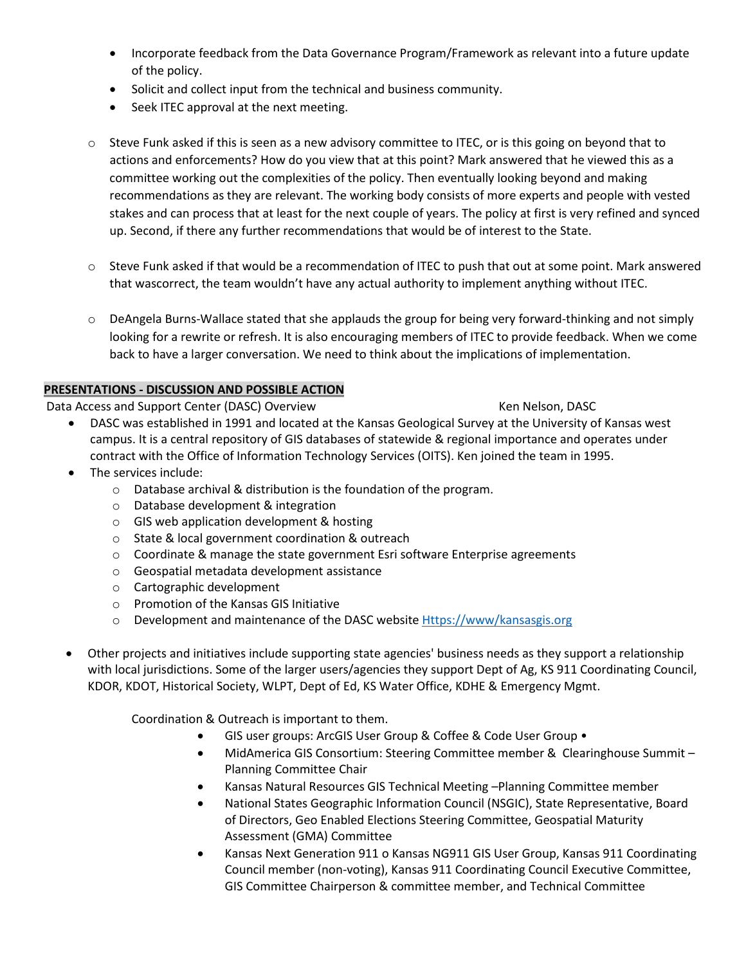- Incorporate feedback from the Data Governance Program/Framework as relevant into a future update of the policy.
- Solicit and collect input from the technical and business community.
- Seek ITEC approval at the next meeting.
- $\circ$  Steve Funk asked if this is seen as a new advisory committee to ITEC, or is this going on beyond that to actions and enforcements? How do you view that at this point? Mark answered that he viewed this as a committee working out the complexities of the policy. Then eventually looking beyond and making recommendations as they are relevant. The working body consists of more experts and people with vested stakes and can process that at least for the next couple of years. The policy at first is very refined and synced up. Second, if there any further recommendations that would be of interest to the State.
- $\circ$  Steve Funk asked if that would be a recommendation of ITEC to push that out at some point. Mark answered that wascorrect, the team wouldn't have any actual authority to implement anything without ITEC.
- o DeAngela Burns-Wallace stated that she applauds the group for being very forward-thinking and not simply looking for a rewrite or refresh. It is also encouraging members of ITEC to provide feedback. When we come back to have a larger conversation. We need to think about the implications of implementation.

# **PRESENTATIONS - DISCUSSION AND POSSIBLE ACTION**

Data Access and Support Center (DASC) Overview Ken Nelson, DASC

- DASC was established in 1991 and located at the Kansas Geological Survey at the University of Kansas west campus. It is a central repository of GIS databases of statewide & regional importance and operates under contract with the Office of Information Technology Services (OITS). Ken joined the team in 1995.
- The services include:
	- o Database archival & distribution is the foundation of the program.
	- o Database development & integration
	- o GIS web application development & hosting
	- o State & local government coordination & outreach
	- o Coordinate & manage the state government Esri software Enterprise agreements
	- o Geospatial metadata development assistance
	- o Cartographic development
	- o Promotion of the Kansas GIS Initiative
	- o Development and maintenance of the DASC websit[e Https://www/kansasgis.org](https://www/kansasgis.org)
- Other projects and initiatives include supporting state agencies' business needs as they support a relationship with local jurisdictions. Some of the larger users/agencies they support Dept of Ag, KS 911 Coordinating Council, KDOR, KDOT, Historical Society, WLPT, Dept of Ed, KS Water Office, KDHE & Emergency Mgmt.

Coordination & Outreach is important to them.

- GIS user groups: ArcGIS User Group & Coffee & Code User Group •
- MidAmerica GIS Consortium: Steering Committee member & Clearinghouse Summit Planning Committee Chair
- Kansas Natural Resources GIS Technical Meeting –Planning Committee member
- National States Geographic Information Council (NSGIC), State Representative, Board of Directors, Geo Enabled Elections Steering Committee, Geospatial Maturity Assessment (GMA) Committee
- Kansas Next Generation 911 o Kansas NG911 GIS User Group, Kansas 911 Coordinating Council member (non-voting), Kansas 911 Coordinating Council Executive Committee, GIS Committee Chairperson & committee member, and Technical Committee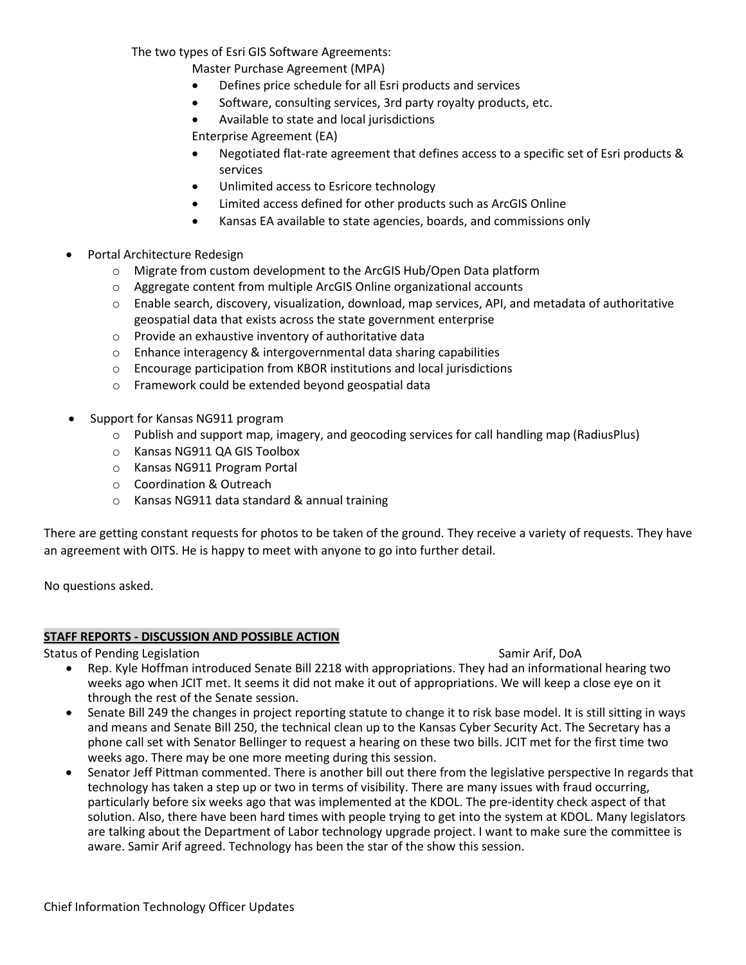The two types of Esri GIS Software Agreements:

Master Purchase Agreement (MPA)

- Defines price schedule for all Esri products and services
- Software, consulting services, 3rd party royalty products, etc.
- Available to state and local jurisdictions

Enterprise Agreement (EA)

- Negotiated flat-rate agreement that defines access to a specific set of Esri products & services
- Unlimited access to Esricore technology
- Limited access defined for other products such as ArcGIS Online
- Kansas EA available to state agencies, boards, and commissions only
- Portal Architecture Redesign
	- o Migrate from custom development to the ArcGIS Hub/Open Data platform
	- o Aggregate content from multiple ArcGIS Online organizational accounts
	- $\circ$  Enable search, discovery, visualization, download, map services, API, and metadata of authoritative geospatial data that exists across the state government enterprise
	- o Provide an exhaustive inventory of authoritative data
	- o Enhance interagency & intergovernmental data sharing capabilities
	- o Encourage participation from KBOR institutions and local jurisdictions
	- o Framework could be extended beyond geospatial data
- Support for Kansas NG911 program
	- o Publish and support map, imagery, and geocoding services for call handling map (RadiusPlus)
	- o Kansas NG911 QA GIS Toolbox
	- o Kansas NG911 Program Portal
	- o Coordination & Outreach
	- o Kansas NG911 data standard & annual training

There are getting constant requests for photos to be taken of the ground. They receive a variety of requests. They have an agreement with OITS. He is happy to meet with anyone to go into further detail.

No questions asked.

### **STAFF REPORTS - DISCUSSION AND POSSIBLE ACTION**

Status of Pending Legislation Samir Arif, DoA

- Rep. Kyle Hoffman introduced Senate Bill 2218 with appropriations. They had an informational hearing two weeks ago when JCIT met. It seems it did not make it out of appropriations. We will keep a close eye on it through the rest of the Senate session.
- Senate Bill 249 the changes in project reporting statute to change it to risk base model. It is still sitting in ways and means and Senate Bill 250, the technical clean up to the Kansas Cyber Security Act. The Secretary has a phone call set with Senator Bellinger to request a hearing on these two bills. JCIT met for the first time two weeks ago. There may be one more meeting during this session.
- Senator Jeff Pittman commented. There is another bill out there from the legislative perspective In regards that technology has taken a step up or two in terms of visibility. There are many issues with fraud occurring, particularly before six weeks ago that was implemented at the KDOL. The pre-identity check aspect of that solution. Also, there have been hard times with people trying to get into the system at KDOL. Many legislators are talking about the Department of Labor technology upgrade project. I want to make sure the committee is aware. Samir Arif agreed. Technology has been the star of the show this session.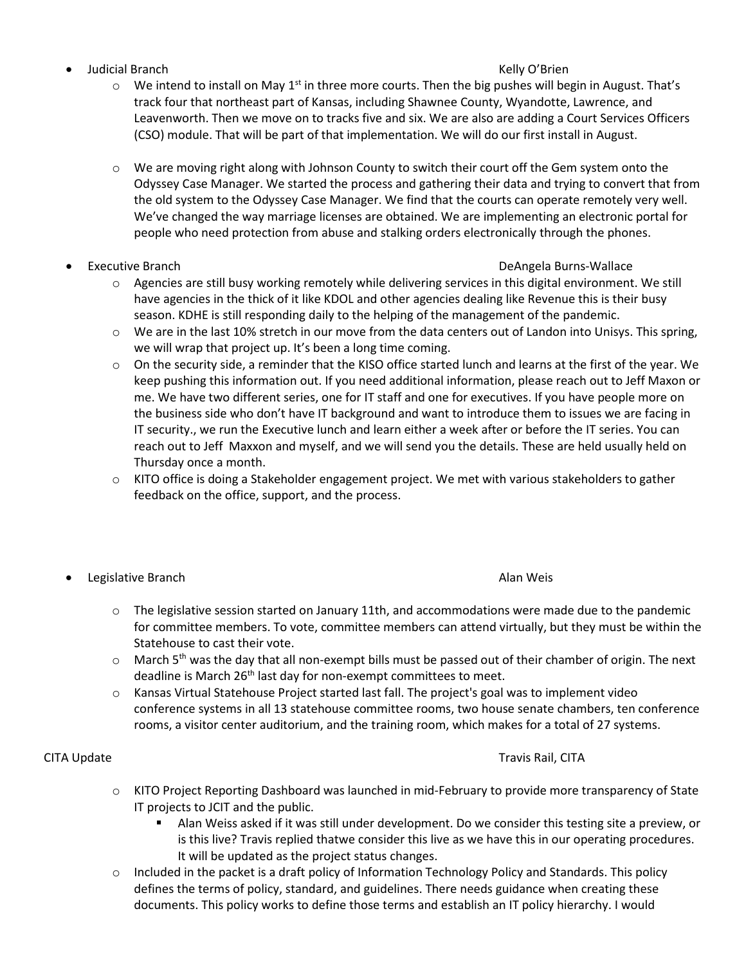• Judicial Branch Kelly O'Brien

- $\circ$  We intend to install on May 1<sup>st</sup> in three more courts. Then the big pushes will begin in August. That's track four that northeast part of Kansas, including Shawnee County, Wyandotte, Lawrence, and Leavenworth. Then we move on to tracks five and six. We are also are adding a Court Services Officers (CSO) module. That will be part of that implementation. We will do our first install in August.
- o We are moving right along with Johnson County to switch their court off the Gem system onto the Odyssey Case Manager. We started the process and gathering their data and trying to convert that from the old system to the Odyssey Case Manager. We find that the courts can operate remotely very well. We've changed the way marriage licenses are obtained. We are implementing an electronic portal for people who need protection from abuse and stalking orders electronically through the phones.
- 

### • Executive Branch DeAngela Burns-Wallace

- $\circ$  Agencies are still busy working remotely while delivering services in this digital environment. We still have agencies in the thick of it like KDOL and other agencies dealing like Revenue this is their busy season. KDHE is still responding daily to the helping of the management of the pandemic.
- o We are in the last 10% stretch in our move from the data centers out of Landon into Unisys. This spring, we will wrap that project up. It's been a long time coming.
- o On the security side, a reminder that the KISO office started lunch and learns at the first of the year. We keep pushing this information out. If you need additional information, please reach out to Jeff Maxon or me. We have two different series, one for IT staff and one for executives. If you have people more on the business side who don't have IT background and want to introduce them to issues we are facing in IT security., we run the Executive lunch and learn either a week after or before the IT series. You can reach out to Jeff Maxxon and myself, and we will send you the details. These are held usually held on Thursday once a month.
- o KITO office is doing a Stakeholder engagement project. We met with various stakeholders to gather feedback on the office, support, and the process.
- **Legislative Branch Alan Weiser Alan Weiser Alan Weiser Alan Weiser Alan Weiser Alan Weiser Alan Weiser Alan Weis**

- $\circ$  The legislative session started on January 11th, and accommodations were made due to the pandemic for committee members. To vote, committee members can attend virtually, but they must be within the Statehouse to cast their vote.
- o March 5<sup>th</sup> was the day that all non-exempt bills must be passed out of their chamber of origin. The next deadline is March 26<sup>th</sup> last day for non-exempt committees to meet.
- o Kansas Virtual Statehouse Project started last fall. The project's goal was to implement video conference systems in all 13 statehouse committee rooms, two house senate chambers, ten conference rooms, a visitor center auditorium, and the training room, which makes for a total of 27 systems.

# CITA Update Travis Rail, CITA

- o KITO Project Reporting Dashboard was launched in mid-February to provide more transparency of State IT projects to JCIT and the public.
	- Alan Weiss asked if it was still under development. Do we consider this testing site a preview, or is this live? Travis replied thatwe consider this live as we have this in our operating procedures. It will be updated as the project status changes.
- $\circ$  Included in the packet is a draft policy of Information Technology Policy and Standards. This policy defines the terms of policy, standard, and guidelines. There needs guidance when creating these documents. This policy works to define those terms and establish an IT policy hierarchy. I would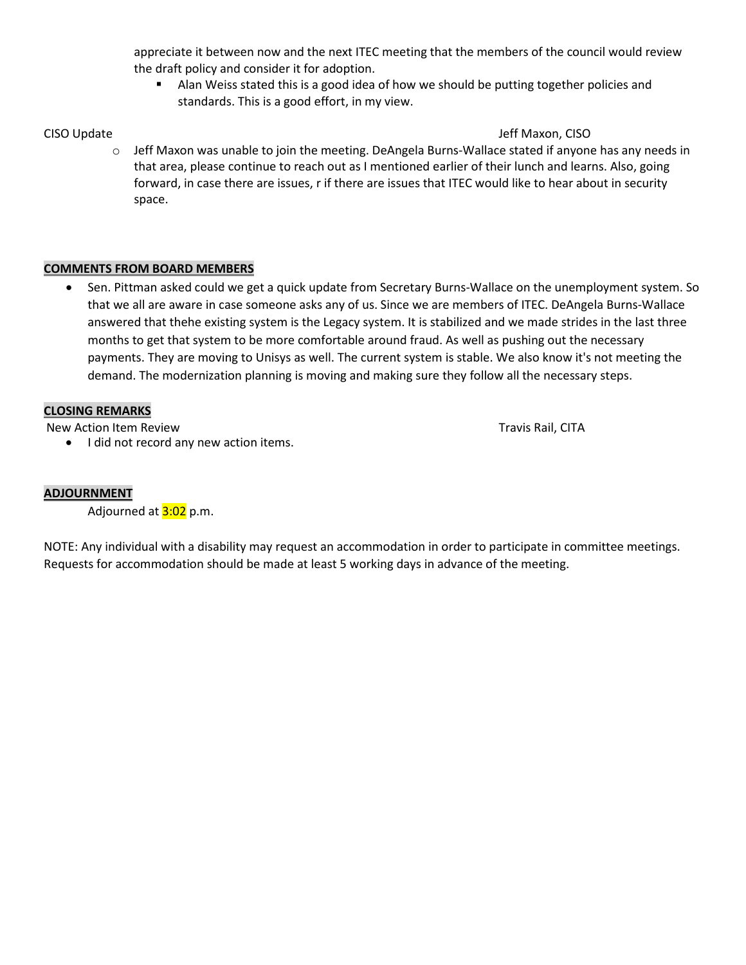appreciate it between now and the next ITEC meeting that the members of the council would review the draft policy and consider it for adoption.

**Alan Weiss stated this is a good idea of how we should be putting together policies and** standards. This is a good effort, in my view.

# CISO Update Jeff Maxon, CISO Update Jeff Maxon, CISO Update Jeff Maxon, CISO Update Jeff Maxon, CISO

 $\circ$  Jeff Maxon was unable to join the meeting. DeAngela Burns-Wallace stated if anyone has any needs in that area, please continue to reach out as I mentioned earlier of their lunch and learns. Also, going forward, in case there are issues, r if there are issues that ITEC would like to hear about in security space.

# **COMMENTS FROM BOARD MEMBERS**

• Sen. Pittman asked could we get a quick update from Secretary Burns-Wallace on the unemployment system. So that we all are aware in case someone asks any of us. Since we are members of ITEC. DeAngela Burns-Wallace answered that thehe existing system is the Legacy system. It is stabilized and we made strides in the last three months to get that system to be more comfortable around fraud. As well as pushing out the necessary payments. They are moving to Unisys as well. The current system is stable. We also know it's not meeting the demand. The modernization planning is moving and making sure they follow all the necessary steps.

# **CLOSING REMARKS**

New Action Item Review Travis Rail, CITA

• I did not record any new action items.

# **ADJOURNMENT**

Adjourned at 3:02 p.m.

NOTE: Any individual with a disability may request an accommodation in order to participate in committee meetings. Requests for accommodation should be made at least 5 working days in advance of the meeting.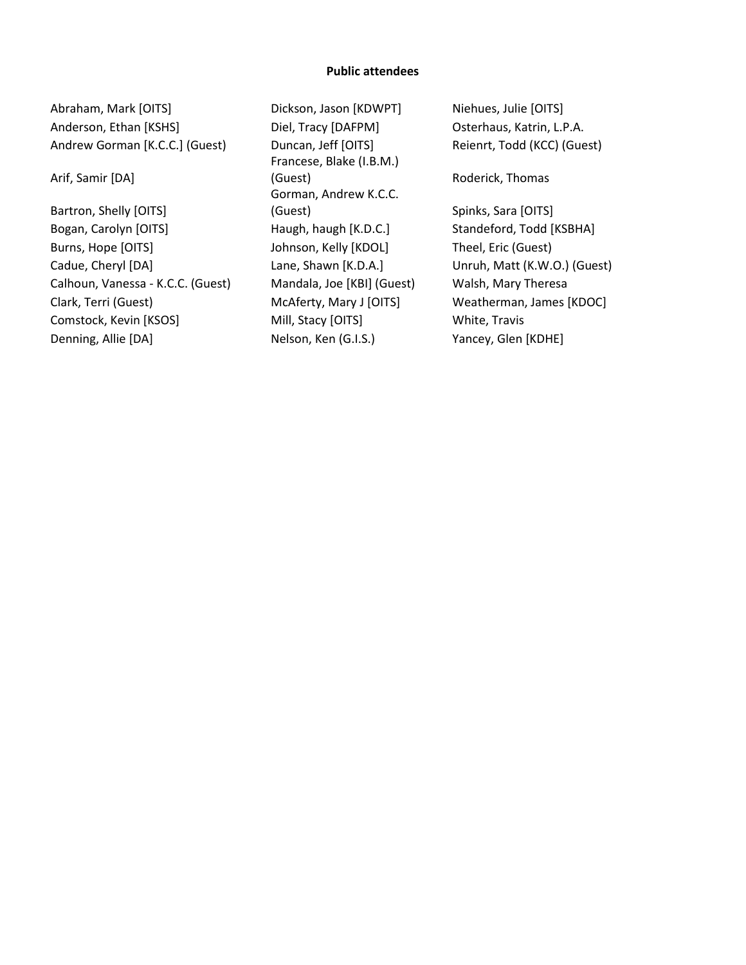#### **Public attendees**

Abraham, Mark [OITS] Dickson, Jason [KDWPT] Niehues, Julie [OITS] Anderson, Ethan [KSHS] Diel, Tracy [DAFPM] Dsterhaus, Katrin, L.P.A. Andrew Gorman [K.C.C.] (Guest) Duncan, Jeff [OITS] Reienrt, Todd (KCC) (Guest)

Arif, Samir [DA]

Bartron, Shelly [OITS] Bogan, Carolyn [OITS] Haugh, haugh [K.D.C.] Standeford, Todd [KSBHA] Burns, Hope [OITS] Johnson, Kelly [KDOL] Theel, Eric (Guest) Cadue, Cheryl [DA] Lane, Shawn [K.D.A.] Unruh, Matt (K.W.O.) (Guest) Calhoun, Vanessa - K.C.C. (Guest) Mandala, Joe [KBI] (Guest) Walsh, Mary Theresa Clark, Terri (Guest) McAferty, Mary J [OITS] Weatherman, James [KDOC] Comstock, Kevin [KSOS] Mill, Stacy [OITS] White, Travis Denning, Allie [DA] Nelson, Ken (G.I.S.) Yancey, Glen [KDHE]

Francese, Blake (I.B.M.) (Guest) Roderick, Thomas Gorman, Andrew K.C.C. (Guest) Spinks, Sara [OITS]